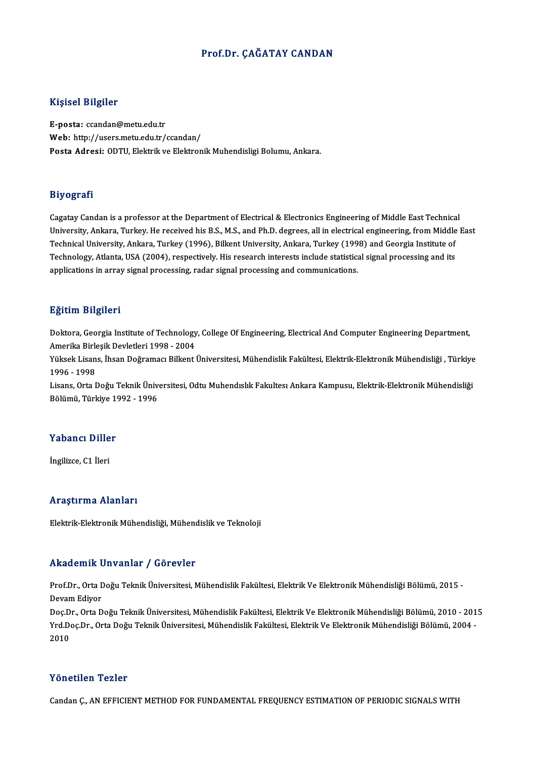## Prof.Dr. ÇAĞATAY CANDAN

## Kişisel Bilgiler

E-posta: ccandan@metu.edu.tr Web: http://users.metu.edu.tr/ccandan/ Posta Adresi: ODTU, Elektrik ve Elektronik Muhendisligi Bolumu, Ankara.

## Biyografi

Cagatay Candan is a professor at the Department of Electrical & Electronics Engineering of Middle East Technical لدي جي الله عليه Cagatay Candan is a professor at the Department of Electrical & Electronics Engineering of Middle East Technical<br>University, Ankara, Turkey. He received his B.S., M.S., and Ph.D. degrees, all in electrica Cagatay Candan is a professor at the Department of Electrical & Electronics Engineering of Middle East Technica<br>University, Ankara, Turkey. He received his B.S., M.S., and Ph.D. degrees, all in electrical engineering, from University, Ankara, Turkey. He received his B.S., M.S., and Ph.D. degrees, all in electrical engineering, from Middle<br>Technical University, Ankara, Turkey (1996), Bilkent University, Ankara, Turkey (1998) and Georgia Insti Technical University, Ankara, Turkey (1996), Bilkent University, Ankara, Turkey (1998) and Georgia Institute of<br>Technology, Atlanta, USA (2004), respectively. His research interests include statistical signal processing an

## Eğitim Bilgileri

Eğitim Bilgileri<br>Doktora, Georgia Institute of Technology, College Of Engineering, Electrical And Computer Engineering Department,<br>Amerika Birlesik Devletleri 1998–2994 Agresser<br>Doktora, Georgia Institute of Technology<br>Amerika Birleşik Devletleri 1998 - 2004<br>Vülgels Lisane, İbean Değramacı Billiant l Amerika Birleşik Devletleri 1998 - 2004

Yüksek Lisans, İhsan Doğramacı Bilkent Üniversitesi, Mühendislik Fakültesi, Elektrik-Elektronik Mühendisliği , Türkiye<br>1996 - 1998 Yüksek Lisans, İhsan Doğramacı Bilkent Üniversitesi, Mühendislik Fakültesi, Elektrik-Elektronik Mühendisliği , Türkiye<br>1996 - 1998<br>Lisans, Orta Doğu Teknik Üniversitesi, Odtu Muhendıslık Fakultesı Ankara Kampusu, Elektrik-

1996 - 1998<br>Lisans, Orta Doğu Teknik Üniv<br>Bölümü, Türkiye 1992 - 1996

## Bolumu, Turkiye T<br>Yabancı Diller Y<mark>abancı Dille</mark><br>İngilizce, C1 İleri

# İngilizce, C1 İleri<br>Araştırma Alanları

Elektrik-Elektronik Mühendisliği, Mühendislik ve Teknoloji

## Akademik Unvanlar / Görevler

**Akademik Unvanlar / Görevler**<br>Prof.Dr., Orta Doğu Teknik Üniversitesi, Mühendislik Fakültesi, Elektrik Ve Elektronik Mühendisliği Bölümü, 2015 -<br>Davam Ediyer rmaacmm<br>Prof.Dr., Orta I<br>Devam Ediyor<br>Dec.Dr., Orta D Prof.Dr., Orta Doğu Teknik Üniversitesi, Mühendislik Fakültesi, Elektrik Ve Elektronik Mühendisliği Bölümü, 2015<br>Devam Ediyor<br>Doç.Dr., Orta Doğu Teknik Üniversitesi, Mühendislik Fakültesi, Elektrik Ve Elektronik Mühendisli

Devam Ediyor<br>Doç.Dr., Orta Doğu Teknik Üniversitesi, Mühendislik Fakültesi, Elektrik Ve Elektronik Mühendisliği Bölümü, 2010 - 201<br>Yrd.Doç.Dr., Orta Doğu Teknik Üniversitesi, Mühendislik Fakültesi, Elektrik Ve Elektronik M Doç.D<br>Yrd.D<br>2010 Yönetilen Tezler

Candan C., AN EFFICIENT METHOD FOR FUNDAMENTAL FREQUENCY ESTIMATION OF PERIODIC SIGNALS WITH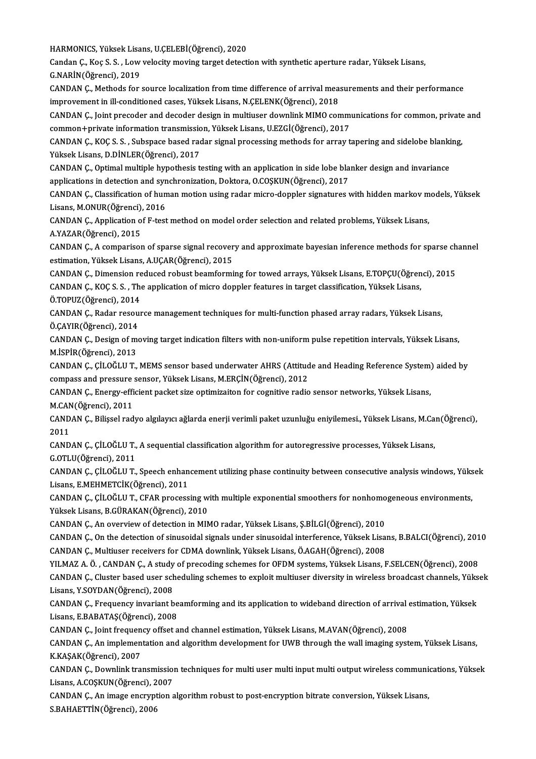HARMONICS,YüksekLisans,U.ÇELEBİ(Öğrenci),2020

Candan Ç., Koç S. S. , Low velocity moving target detection with synthetic aperture radar, Yüksek Lisans,<br>G.NARİN(Öğrenci), 2019 HARMONICS, Yüksek Lisa<br>Candan Ç., Koç S. S. , Low<br>G.NARİN(Öğrenci), 2019<br>CANDAN C. Methods for Candan Ç., Koç S. S. , Low velocity moving target detection with synthetic aperture radar, Yüksek Lisans,<br>G.NARİN(Öğrenci), 2019<br>CANDAN Ç., Methods for source localization from time difference of arrival measurements and t

G.NARİN(Öğrenci), 2019<br>CANDAN Ç., Methods for source localization from time difference of arrival meas<br>improvement in ill-conditioned cases, Yüksek Lisans, N.ÇELENK(Öğrenci), 2018<br>CANDAN G. Joint preseder and deseder desig CANDAN Ç., Methods for source localization from time difference of arrival measurements and their performance<br>improvement in ill-conditioned cases, Yüksek Lisans, N.ÇELENK(Öğrenci), 2018<br>CANDAN Ç., Joint precoder and decod

improvement in ill-conditioned cases, Yüksek Lisans, N.ÇELENK(Öğrenci), 2018<br>CANDAN Ç., Joint precoder and decoder design in multiuser downlink MIMO comm<br>common+private information transmission, Yüksek Lisans, U.EZGİ(Öğren CANDAN Ç., Joint precoder and decoder design in multiuser downlink MIMO communications for common, private<br>common+private information transmission, Yüksek Lisans, U.EZGİ(Öğrenci), 2017<br>CANDAN Ç., KOÇ S. S. , Subspace based

common+private information transmission, Yüksek Lisans, U.EZGİ(Öğrenci), 2017<br>CANDAN Ç., KOÇ S. S. , Subspace based radar signal processing methods for array t<br>Yüksek Lisans, D.DİNLER(Öğrenci), 2017 CANDAN Ç., KOÇ S. S. , Subspace based radar signal processing methods for array tapering and sidelobe blanki<br>Yüksek Lisans, D.DİNLER(Öğrenci), 2017<br>CANDAN Ç., Optimal multiple hypothesis testing with an application in side

Yüksek Lisans, D.DİNLER(Öğrenci), 2017<br>CANDAN Ç., Optimal multiple hypothesis testing with an application in side lobe bla<br>applications in detection and synchronization, Doktora, O.COŞKUN(Öğrenci), 2017<br>CANDAN G. Classifis CANDAN Ç., Optimal multiple hypothesis testing with an application in side lobe blanker design and invariance<br>applications in detection and synchronization, Doktora, O.COŞKUN(Öğrenci), 2017<br>CANDAN Ç., Classification of hum

applications in detection and synchronization, Doktora, O.COŞKUN(Öğrenci), 2017<br>CANDAN Ç., Classification of human motion using radar micro-doppler signatures with hidden markov models, Yüksek<br>Lisans, M.ONUR(Öğrenci), 2016 CANDAN Ç., Classification of human motion using radar micro-doppler signatures with hidden markov m<br>Lisans, M.ONUR(Öğrenci), 2016<br>CANDAN Ç., Application of F-test method on model order selection and related problems, Yükse

Lisans, M.ONUR(Öğrenci),<br>CANDAN Ç., Application o<br>A.YAZAR(Öğrenci), 2015 CANDAN Ç., Application of F-test method on model order selection and related problems, Yüksek Lisans,<br>A.YAZAR(Öğrenci), 2015<br>CANDAN Ç., A comparison of sparse signal recovery and approximate bayesian inference methods for

A.YAZAR(Öğrenci), 2015<br>CANDAN Ç., A comparison of sparse signal recover<br>estimation, Yüksek Lisans, A.UÇAR(Öğrenci), 2015<br>CANDAN G. Dimonsion reduced rebust beamformi CANDAN Ç., A comparison of sparse signal recovery and approximate bayesian inference methods for sparse ch<br>estimation, Yüksek Lisans, A.UÇAR(Öğrenci), 2015<br>CANDAN Ç., Dimension reduced robust beamforming for towed arrays,

estimation, Yüksek Lisans, A.UÇAR(Öğrenci), 2015<br>CANDAN Ç., Dimension reduced robust beamforming for towed arrays, Yüksek Lisans, E.TOPÇU(Öğren<br>CANDAN Ç., KOÇ S. S. , The application of micro doppler features in target cla

CANDAN Ç., Dimension re<br>CANDAN Ç., KOÇ S. S. , The<br>Ö.TOPUZ(Öğrenci), 2014<br>CANDAN C. Beder resevy CANDAN Ç., KOÇ S. S. , The application of micro doppler features in target classification, Yüksek Lisans,<br>Ö.TOPUZ(Öğrenci), 2014<br>CANDAN Ç., Radar resource management techniques for multi-function phased array radars, Yükse

Ö.TOPUZ(Öğrenci), 2014<br>CANDAN Ç., Radar resource management techniques for multi-function phased array radars, Yüksek Lisans,<br>Ö.ÇAYIR(Öğrenci), 2014 CANDAN Ç., Radar resource management techniques for multi-function phased array radars, Yüksek Lisans,<br>Ö.ÇAYIR(Öğrenci), 2014<br>CANDAN Ç., Design of moving target indication filters with non-uniform pulse repetition interval

Ö.ÇAYIR(Öğrenci), 2014<br>CANDAN Ç., Design of m<br>M.İSPİR(Öğrenci), 2013<br>CANDAN Ç. ÇİLQÖLLI T CANDAN Ç., Design of moving target indication filters with non-uniform pulse repetition intervals, Yüksek Lisans,<br>M.İSPİR(Öğrenci), 2013<br>CANDAN Ç., ÇİLOĞLU T., MEMS sensor based underwater AHRS (Attitude and Heading Refere

M.İSPİR(Öğrenci), 2013<br>CANDAN Ç., ÇİLOĞLU T., MEMS sensor based underwater AHRS (Attitud<br>compass and pressure sensor, Yüksek Lisans, M.ERÇİN(Öğrenci), 2012<br>CANDAN G. Energy efficient pecket sire entimizaiten for cognitive CANDAN Ç., ÇİLOĞLU T., MEMS sensor based underwater AHRS (Attitude and Heading Reference System)<br>compass and pressure sensor, Yüksek Lisans, M.ERÇİN(Öğrenci), 2012<br>CANDAN Ç., Energy-efficient packet size optimizaiton for c

compass and pressure sensor, Yüksek Lisans, M.ERÇİN(Öğrenci), 2012<br>CANDAN Ç., Energy-efficient packet size optimizaiton for cognitive radio sensor networks, Yüksek Lisans,<br>M.CAN(Öğrenci), 2011 CANDAN Ç., Energy-efficient packet size optimizaiton for cognitive radio sensor networks, Yüksek Lisans,<br>M.CAN(Öğrenci), 2011<br>CANDAN Ç., Bilişsel radyo algılayıcı ağlarda enerji verimli paket uzunluğu eniyilemesi., Yüksek

M.CAN<br>CAND<br>2011<br>CAND CANDAN Ç., Bilişsel radyo algılayıcı ağlarda enerji verimli paket uzunluğu eniyilemesi., Yüksek Lisans, M.Ca<br>2011<br>CANDAN Ç., ÇİLOĞLU T., A sequential classification algorithm for autoregressive processes, Yüksek Lisans,<br>C.

2011<br>CANDAN Ç., ÇİLOĞLU T., A sequential classification algorithm for autoregressive processes, Yüksek Lisans,<br>G.OTLU(Öğrenci), 2011 CANDAN Ç., ÇİLOĞLU T., A sequential classification algorithm for autoregressive processes, Yüksek Lisans,<br>G.OTLU(Öğrenci), 2011<br>CANDAN Ç., ÇİLOĞLU T., Speech enhancement utilizing phase continuity between consecutive analy

G.OTLU(Öğrenci), 2011<br>CANDAN Ç., ÇİLOĞLU T., Speech enhan<br>Lisans, E.MEHMETCİK(Öğrenci), 2011<br>CANDAN G. ÇİLOĞLU T. CEAR PROSSSS CANDAN Ç., ÇİLOĞLU T., Speech enhancement utilizing phase continuity between consecutive analysis windows, Yüks<br>Lisans, E.MEHMETCİK(Öğrenci), 2011<br>CANDAN Ç., ÇİLOĞLU T., CFAR processing with multiple exponential smoothers

Lisans, E.MEHMETCİK(Öğrenci), 2011<br>CANDAN Ç., ÇİLOĞLU T., CFAR processing w<br>Yüksek Lisans, B.GÜRAKAN(Öğrenci), 2010<br>CANDAN C. An everriew of detestion in MIN CANDAN Ç., ÇİLOĞLU T., CFAR processing with multiple exponential smoothers for nonhomo<br>Yüksek Lisans, B.GÜRAKAN(Öğrenci), 2010<br>CANDAN Ç., An overview of detection in MIMO radar, Yüksek Lisans, Ş.BİLGİ(Öğrenci), 2010<br>CANDAN

Yüksek Lisans, B.GÜRAKAN(Öğrenci), 2010<br>CANDAN Ç., An overview of detection in MIMO radar, Yüksek Lisans, Ş.BİLGİ(Öğrenci), 2010<br>CANDAN Ç., On the detection of sinusoidal signals under sinusoidal interference, Yüksek Lisan CANDAN Ç., An overview of detection in MIMO radar, Yüksek Lisans, Ş.BİLGİ(Öğrenci), 2010<br>CANDAN Ç., On the detection of sinusoidal signals under sinusoidal interference, Yüksek Lisa<br>CANDAN Ç., Multiuser receivers for CDMA CANDAN Ç., On the detection of sinusoidal signals under sinusoidal interference, Yüksek Lisans, B.BALCI(Öğrenci), 201<br>CANDAN Ç., Multiuser receivers for CDMA downlink, Yüksek Lisans, Ö.AGAH(Öğrenci), 2008<br>YILMAZ A. Ö. , CA

CANDAN Ç., Multiuser receivers for CDMA downlink, Yüksek Lisans, Ö.AGAH(Öğrenci), 2008<br>YILMAZ A. Ö. , CANDAN Ç., A study of precoding schemes for OFDM systems, Yüksek Lisans, F.SELCEN(Öğrenci), 2008<br>CANDAN Ç., Cluster base YILMAZ A. Ö. , CANDAN Ç., A study<br>CANDAN Ç., Cluster based user sch<br>Lisans, Y.SOYDAN(Öğrenci), 2008<br>CANDAN C. Ereguengy invariant b CANDAN Ç., Cluster based user scheduling schemes to exploit multiuser diversity in wireless broadcast channels, Yüks<br>Lisans, Y.SOYDAN(Öğrenci), 2008<br>CANDAN Ç., Frequency invariant beamforming and its application to wideban

Lisans, Y.SOYDAN(Öğrenci), 2008<br>CANDAN Ç., Frequency invariant be<br>Lisans, E.BABATAŞ(Öğrenci), 2008<br>CANDAN G. Joint frequency offect a CANDAN Ç., Frequency invariant beamforming and its application to wideband direction of arrival<br>Lisans, E.BABATAŞ(Öğrenci), 2008<br>CANDAN Ç., Joint frequency offset and channel estimation, Yüksek Lisans, M.AVAN(Öğrenci), 200

Lisans, E.BABATAŞ(Öğrenci), 2008<br>CANDAN Ç., Joint frequency offset and channel estimation, Yüksek Lisans, M.AVAN(Öğrenci), 2008<br>CANDAN Ç., An implementation and algorithm development for UWB through the wall imaging system CANDAN Ç., Joint frequen<br>CANDAN Ç., An implemen<br>K.KAŞAK(Öğrenci), 2007<br>CANDAN G. Doumlink tra CANDAN Ç., An implementation and algorithm development for UWB through the wall imaging system, Yüksek Lisans,<br>K.KAŞAK(Öğrenci), 2007<br>CANDAN Ç., Downlink transmission techniques for multi user multi input multi output wire

K.KAŞAK(Öğrenci), 2007<br>CANDAN Ç., Downlink transmissio<br>Lisans, A.COŞKUN(Öğrenci), 2007<br>CANDAN Ç. An image anaxımtion a CANDAN Ç., Downlink transmission techniques for multi user multi input multi output wireless communion<br>Lisans, A.COŞKUN(Öğrenci), 2007<br>CANDAN Ç., An image encryption algorithm robust to post-encryption bitrate conversion,

Lisans, A.COŞKUN(Öğrenci), 2007<br>CANDAN Ç., An image encryption algorithm robust to post-encryption bitrate conversion, Yüksek Lisans,<br>S.BAHAETTİN(Öğrenci), 2006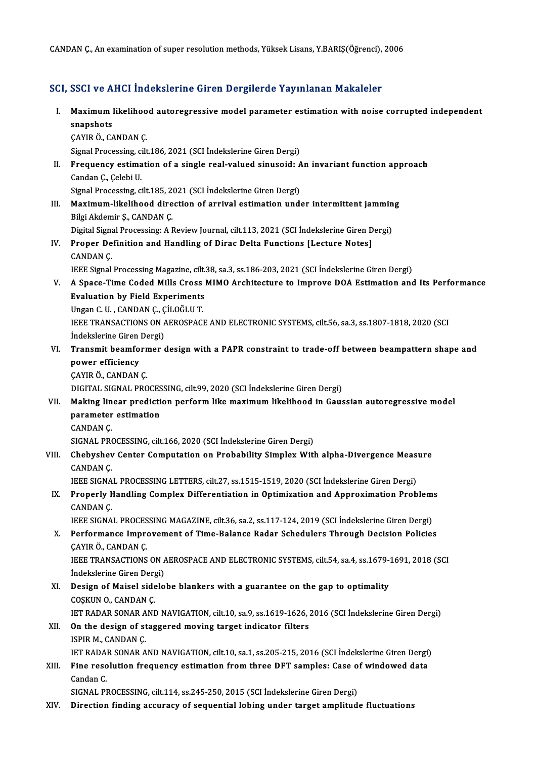CANDAN Ç., An examination of super resolution methods, Yüksek Lisans, Y.BARIŞ(Öğrenci), 2006

## SCI, SSCI ve AHCI İndekslerine Giren Dergilerde Yayınlanan Makaleler

- I. SSCI ve AHCI İndekslerine Giren Dergilerde Yayınlanan Makaleler<br>I. Maximum likelihood autoregressive model parameter estimation with noise corrupted independent<br>Spanshets sserven<br>Maximum |<br>snapshots<br>CAVIP Ö. CA Maximum likelihoo<br>snapshots<br>ÇAYIR Ö., CANDAN Ç.<br>Simal Processing, silt snapshots<br>ÇAYIR Ö., CANDAN Ç.<br>Signal Processing, cilt.186, 2021 (SCI İndekslerine Giren Dergi)<br>Froquanov estimation of a single real yalued sinuseid: A CAYIR Ö., CANDAN C.<br>Signal Processing, cilt.186, 2021 (SCI İndekslerine Giren Dergi)<br>II. Frequency estimation of a single real-valued sinusoid: An invariant function approach<br>Candan C., Celebi U. Signal Processing, co<br>Frequency estima<br>Candan Ç., Çelebi U.<br>Signal Processing, ci Frequency estimation of a single real-valued sinusoid: A<br>Candan Ç., Çelebi U.<br>Signal Processing, cilt.185, 2021 (SCI İndekslerine Giren Dergi)<br>Maximum likeliheed direction of annival estimation und Candan Ç., Çelebi U.<br>Signal Processing, cilt.185, 2021 (SCI İndekslerine Giren Dergi)<br>III. Maximum-likelihood direction of arrival estimation under intermittent jamming<br>Piki Akdomir S. CANDAN C. Signal Processing, cilt.185, 2<br>Maximum-likelihood dire<br>Bilgi Akdemir Ş., CANDAN Ç.<br>Digital Signal Processing: A I Maximum-likelihood direction of arrival estimation under intermittent jammin<br>Bilgi Akdemir Ş., CANDAN Ç.<br>Digital Signal Processing: A Review Journal, cilt.113, 2021 (SCI İndekslerine Giren Dergi)<br>Proper Definition and Hand Bilgi Akdemir Ş., CANDAN Ç.<br>Digital Signal Processing: A Review Journal, cilt.113, 2021 (SCI İndekslerine Giren D<br>IV. Proper Definition and Handling of Dirac Delta Functions [Lecture Notes]<br>CANDAN C. Digital Signal Processing: A Review Journal, cilt.113, 2021 (SCI İndekslerine Giren Dergi) Proper Definition and Handling of Dirac Delta Functions [Lecture Notes]<br>CANDAN Ç.<br>IEEE Signal Processing Magazine, cilt.38, sa.3, ss.186-203, 2021 (SCI İndekslerine Giren Dergi)<br>A Spage Time Coded Mille Cress MIMO Arehitec V. A Space-Time Coded Mills Cross MIMO Architecture to Improve DOA Estimation and Its Performance **IEEE Signal Processing Magazine, cilt.**<br>A Space-Time Coded Mills Cross<br>Evaluation by Field Experiments<br>Ungan G H - GANDAN G - GU QČLH T Evaluation by Field Experiments IEEE TRANSACTIONS ON AEROSPACE AND ELECTRONIC SYSTEMS, cilt.56, sa.3, ss.1807-1818, 2020 (SCI Indekslerine Giren Dergi) Ungan C. U., CANDAN Ç., ÇİLOĞLU T. IEEE TRANSACTIONS ON AEROSPACE AND ELECTRONIC SYSTEMS, cilt.56, sa.3, ss.1807-1818, 2020 (SCI<br>Indekslerine Giren Dergi)<br>VI. Transmit beamformer design with a PAPR constraint to trade-off between beampattern shape and<br>nower Indekslerine Giren<br>Transmit beamfo<br>power efficiency<br>CAVIB Ö. CANDAN **Transmit beamforn<br>power efficiency<br>ÇAYIR Ö., CANDAN Ç.<br>DICITAL SICNAL PRO** power efficiency<br>ÇAYIR Ö., CANDAN Ç.<br>DIGITAL SIGNAL PROCESSING, cilt.99, 2020 (SCI İndekslerine Giren Dergi)<br>Making linear prodistion perform like maximum likeliheed in Gaus CAYIR Ö., CANDAN Ç.<br>DIGITAL SIGNAL PROCESSING, cilt.99, 2020 (SCI İndekslerine Giren Dergi)<br>VII. Making linear prediction perform like maximum likelihood in Gaussian autoregressive model<br>parameter estimation DIGITAL SIGNAL PROCES<br>Making linear predicti<br>parameter estimation<br>CANDAN C CANDANÇ. parameter estimation<br>CANDAN Ç.<br>SIGNAL PROCESSING, cilt.166, 2020 (SCI İndekslerine Giren Dergi)<br>Chebyshov Center Computation en Probebility Simpley Witl CANDAN Ç.<br>SIGNAL PROCESSING, cilt.166, 2020 (SCI İndekslerine Giren Dergi)<br>VIII. Chebyshev Center Computation on Probability Simplex With alpha-Divergence Measure SIGNAL PRO<br>Chebyshev<br>CANDAN Ç. Chebyshev Center Computation on Probability Simplex With alpha-Divergence Meas<br>CANDAN Ç.<br>IEEE SIGNAL PROCESSING LETTERS, cilt.27, ss.1515-1519, 2020 (SCI İndekslerine Giren Dergi)<br>Proposiu Handling Complex Differentiation CANDAN Ç.<br>IEEE SIGNAL PROCESSING LETTERS, cilt.27, ss.1515-1519, 2020 (SCI İndekslerine Giren Dergi)<br>IX. Properly Handling Complex Differentiation in Optimization and Approximation Problems<br>CANDAN C IEEE SIGNA<br>Properly F<br>CANDAN Ç.<br>IEEE SICNA Properly Handling Complex Differentiation in Optimization and Approximation Problem:<br>CANDAN Ç.<br>IEEE SIGNAL PROCESSING MAGAZINE, cilt.36, sa.2, ss.117-124, 2019 (SCI İndekslerine Giren Dergi)<br>Performance Improvement of Time CANDAN Ç.<br>IEEE SIGNAL PROCESSING MAGAZINE, cilt.36, sa.2, ss.117-124, 2019 (SCI İndekslerine Giren Dergi)<br>X. Performance Improvement of Time-Balance Radar Schedulers Through Decision Policies<br>CAYIR Ö., CANDAN Ç. IEEE SIGNAL PROCESSING MAGAZINE, cilt.36, sa.2, ss.117-124, 2019 (SCI İndekslerine Giren Dergi) Performance Improvement of Time-Balance Radar Schedulers Through Decision Policies<br>ÇAYIR Ö., CANDAN Ç.<br>IEEE TRANSACTIONS ON AEROSPACE AND ELECTRONIC SYSTEMS, cilt.54, sa.4, ss.1679-1691, 2018 (SCI<br>İndekslerine Ciren Dergi) CAYIR Ö., CANDAN Ç.<br>IEEE TRANSACTIONS ON A<br>İndekslerine Giren Dergi)<br>Design of Maisel sidele indekslerine Giren Dergi)<br>XI. Design of Maisel sidelobe blankers with a guarantee on the gap to optimality COSKUN O., CANDAN Ç. IET RADAR SONAR AND NAVIGATION, cilt.10, sa.9, ss.1619-1626, 2016 (SCI İndekslerine Giren Dergi) COSKUN O., CANDAN C.<br>IET RADAR SONAR AND NAVIGATION, cilt.10, sa.9, ss.1619-1626, .<br>XII. On the design of staggered moving target indicator filters **IET RADAR SONAR A<br>On the design of st<br>ISPIR M., CANDAN Ç.<br>IET PADAR SONAR A** On the design of staggered moving target indicator filters<br>ISPIR M., CANDAN Ç.<br>IET RADAR SONAR AND NAVIGATION, cilt.10, sa.1, ss.205-215, 2016 (SCI İndekslerine Giren Dergi)<br>Fine resolution frequency estimation from three ISPIR M., CANDAN Ç.<br>IET RADAR SONAR AND NAVIGATION, cilt.10, sa.1, ss.205-215, 2016 (SCI İndekslerine Giren Dergi)<br>XIII. Fine resolution frequency estimation from three DFT samples: Case of windowed data **IET RADA**<br>**Fine reso<br>Candan C.<br>SICNAL PI** Fine resolution frequency estimation from three DFT samples: Case o<br>Candan C.<br>SIGNAL PROCESSING, cilt.114, ss.245-250, 2015 (SCI İndekslerine Giren Dergi)<br>Dinastion finding assumesy of sequential labing under tarset amplit Candan C.<br>SIGNAL PROCESSING, cilt.114, ss.245-250, 2015 (SCI Indekslerine Giren Dergi)<br>XIV. Direction finding accuracy of sequential lobing under target amplitude fluctuations
-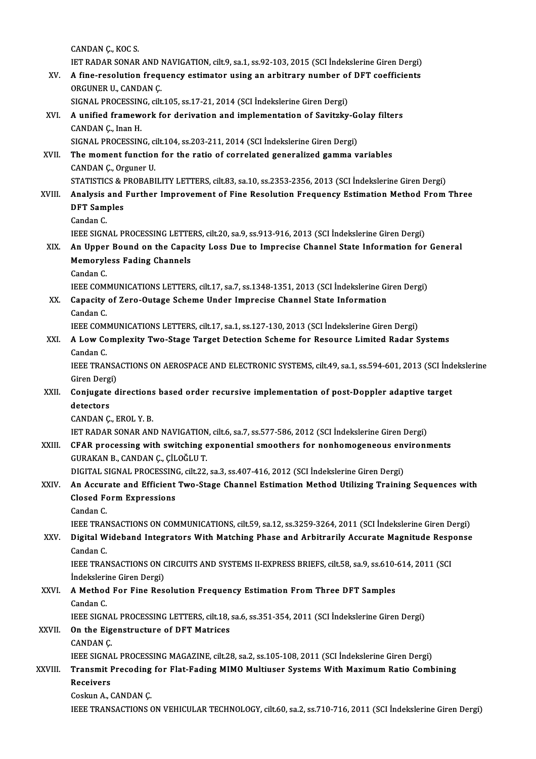CANDANÇ.,KOCS. CANDAN Ç., KOC S.<br>IET RADAR SONAR AND NAVIGATION, cilt.9, sa.1, ss.92-103, 2015 (SCI İndekslerine Giren Dergi)<br>A fine negelition frequencu estimator using an arbitrary number of DET seefficients. CANDAN Ç., KOC S.<br>IET RADAR SONAR AND NAVIGATION, cilt.9, sa.1, ss.92-103, 2015 (SCI İndekslerine Giren Dergi)<br>XV. A fine-resolution frequency estimator using an arbitrary number of DFT coefficients<br>ORCUNER U. CANDAN C **IET RADAR SONAR AND I<br>A fine-resolution frequ<br>ORGUNER U., CANDAN Ç.<br>SICNAL PROCESSING ailt** A fine-resolution frequency estimator using an arbitrary number of<br>ORGUNER U., CANDAN Ç.<br>SIGNAL PROCESSING, cilt.105, ss.17-21, 2014 (SCI İndekslerine Giren Dergi)<br>A unified framework for derivation and implementation of S ORGUNER U., CANDAN Ç.<br>SIGNAL PROCESSING, cilt.105, ss.17-21, 2014 (SCI İndekslerine Giren Dergi)<br>XVI. A unified framework for derivation and implementation of Savitzky-Golay filters<br>CANDAN C. Inan H SIGNAL PROCESSIN<br>A unified framew<br>CANDAN Ç., Inan H.<br>SICNAL PROCESSIN A unified framework for derivation and implementation of Savitzky-G<br>CANDAN Ç., Inan H.<br>SIGNAL PROCESSING, cilt.104, ss.203-211, 2014 (SCI İndekslerine Giren Dergi)<br>The mement function for the ratio of correlated generalize CANDAN Ç., Inan H.<br>SIGNAL PROCESSING, cilt.104, ss.203-211, 2014 (SCI İndekslerine Giren Dergi)<br>XVII. The moment function for the ratio of correlated generalized gamma variables<br>CANDAN C. Orgunor II SIGNAL PROCESSING, compared that the moment function.<br>CANDAN Ç., Orguner U.<br>STATISTICS & PROPAPI The moment function for the ratio of correlated generalized gamma variables<br>CANDAN Ç., Orguner U.<br>STATISTICS & PROBABILITY LETTERS, cilt.83, sa.10, ss.2353-2356, 2013 (SCI İndekslerine Giren Dergi)<br>Analysis and Eurther Imp CANDAN Ç., Orguner U.<br>STATISTICS & PROBABILITY LETTERS, cilt.83, sa.10, ss.2353-2356, 2013 (SCI İndekslerine Giren Dergi)<br>XVIII. Analysis and Further Improvement of Fine Resolution Frequency Estimation Method From Thre STATISTICS & F<br>Analysis and<br>DFT Samples<br>Candan C DFT Samples<br>Candan C. DFT Samples<br>Candan C.<br>IEEE SIGNAL PROCESSING LETTERS, cilt.20, sa.9, ss.913-916, 2013 (SCI İndekslerine Giren Dergi)<br>An Unner Beund en the Cenesity Less Due te Impresies Channel State Information for Candan C.<br>IEEE SIGNAL PROCESSING LETTERS, cilt.20, sa.9, ss.913-916, 2013 (SCI İndekslerine Giren Dergi)<br>XIX. An Upper Bound on the Capacity Loss Due to Imprecise Channel State Information for General<br>Memoryless Eading **IEEE SIGNAL PROCESSING LETTE<br>An Upper Bound on the Capa<br>Memoryless Fading Channels**<br>Candan C An Upper<br>Memoryle<br>Candan C.<br>JEEE COM! Memoryless Fading Channels<br>Candan C.<br>IEEE COMMUNICATIONS LETTERS, cilt.17, sa.7, ss.1348-1351, 2013 (SCI İndekslerine Giren Dergi) Candan C.<br>IEEE COMMUNICATIONS LETTERS, cilt.17, sa.7, ss.1348-1351, 2013 (SCI İndekslerine Gi<br>XX. Capacity of Zero-Outage Scheme Under Imprecise Channel State Information<br>Candan C **IEEE COME**<br>Capacity<br>Candan C.<br>IEEE COME Capacity of Zero-Outage Scheme Under Imprecise Channel State Information<br>Candan C.<br>IEEE COMMUNICATIONS LETTERS, cilt.17, sa.1, ss.127-130, 2013 (SCI İndekslerine Giren Dergi)<br>A Law Camplayity Two Stage Target Detection Sch Candan C.<br>IEEE COMMUNICATIONS LETTERS, cilt.17, sa.1, ss.127-130, 2013 (SCI İndekslerine Giren Dergi)<br>XXI. A Low Complexity Two-Stage Target Detection Scheme for Resource Limited Radar Systems<br>Candar C **IEEE COME**<br>**A Low Co**<br>Candan C.<br>IEEE TRAN A Low Complexity Two-Stage Target Detection Scheme for Resource Limited Radar Systems<br>Candan C.<br>IEEE TRANSACTIONS ON AEROSPACE AND ELECTRONIC SYSTEMS, cilt.49, sa.1, ss.594-601, 2013 (SCI İndekslerine<br>Ciron Dergi) Candan C.<br>IEEE TRANSA<br>Giren Dergi)<br>Coniugate d IEEE TRANSACTIONS ON AEROSPACE AND ELECTRONIC SYSTEMS, cilt.49, sa.1, ss.594-601, 2013 (SCI Ind<br>Giren Dergi)<br>XXII. Conjugate directions based order recursive implementation of post-Doppler adaptive target<br>detectors **Giren Derg<br>Conjugate<br>detectors<br>CANDAN C** Conjugate directions<br>detectors<br>CANDAN Ç., EROL Y. B.<br>IET BADAR SONAR ANI detectors<br>CANDAN Ç., EROL Y. B.<br>IET RADAR SONAR AND NAVIGATION, cilt.6, sa.7, ss.577-586, 2012 (SCI İndekslerine Giren Dergi)<br>CEAR presessing with switching expenential smeethers for penhemageneeus environr CANDAN Ç., EROL Y. B.<br>IET RADAR SONAR AND NAVIGATION, cilt.6, sa.7, ss.577-586, 2012 (SCI İndekslerine Giren Dergi)<br>XXIII. CFAR processing with switching exponential smoothers for nonhomogeneous environments<br>GURAKAN B., CA **IET RADAR SONAR AND NAVIGATION<br>CFAR processing with switching e<br>GURAKAN B., CANDAN Ç., ÇİLOĞLU T.<br>DICITAL SICNAL PROCESSING silt 22** CFAR processing with switching exponential smoothers for nonhomogeneous env<br>GURAKAN B., CANDAN Ç., ÇİLOĞLU T.<br>DIGITAL SIGNAL PROCESSING, cilt.22, sa.3, ss.407-416, 2012 (SCI İndekslerine Giren Dergi)<br>An Acquanta and Effici GURAKAN B., CANDAN Ç., ÇİLOĞLU T.<br>DIGITAL SIGNAL PROCESSING, cilt.22, sa.3, ss.407-416, 2012 (SCI İndekslerine Giren Dergi)<br>XXIV. An Accurate and Efficient Two-Stage Channel Estimation Method Utilizing Training Sequenc DIGITAL SIGNAL PROCESSIN<br>An Accurate and Efficient<br>Closed Form Expressions<br>Candan C An Accur<br>Closed Fo<br>Candan C.<br>IEEE TRAN Closed Form Expressions<br>Candan C.<br>IEEE TRANSACTIONS ON COMMUNICATIONS, cilt.59, sa.12, ss.3259-3264, 2011 (SCI İndekslerine Giren Dergi) Candan C.<br>IEEE TRANSACTIONS ON COMMUNICATIONS, cilt.59, sa.12, ss.3259-3264, 2011 (SCI İndekslerine Giren Dergi)<br>XXV. Digital Wideband Integrators With Matching Phase and Arbitrarily Accurate Magnitude Response<br>Candan **IEEE TRAN<br>Digital W<br>Candan C.<br>IEEE TRAN** Digital Wideband Integrators With Matching Phase and Arbitrarily Accurate Magnitude Resp<br>Candan C.<br>IEEE TRANSACTIONS ON CIRCUITS AND SYSTEMS II-EXPRESS BRIEFS, cilt.58, sa.9, ss.610-614, 2011 (SCI<br>Indekslerine Ciren Dergi) Candan C.<br>IEEE TRANSACTIONS ON CIRCUITS AND SYSTEMS II-EXPRESS BRIEFS, cilt.58, sa.9, ss.610-614, 2011 (SCI<br>İndekslerine Giren Dergi) IEEE TRANSACTIONS ON CIRCUITS AND SYSTEMS II-EXPRESS BRIEFS, cilt.58, sa.9, ss.610-<br>Indekslerine Giren Dergi)<br>XXVI. A Method For Fine Resolution Frequency Estimation From Three DFT Samples İndeksleri<br>A Method<br>Candan C.<br>IEEE SICN A Method For Fine Resolution Frequency Estimation From Three DFT Samples<br>Candan C.<br>IEEE SIGNAL PROCESSING LETTERS, cilt.18, sa.6, ss.351-354, 2011 (SCI İndekslerine Giren Dergi)<br>On the Eigenstructure of DET Metrices Candan C.<br>IEEE SIGNAL PROCESSING LETTERS, cilt.18,<br>XXVII. On the Eigenstructure of DFT Matrices<br>CANDAN C. **IEEE SIGNA<br>On the Eig<br>CANDAN Ç.<br>IEEE SIGNA** On the Eigenstructure of DFT Matrices<br>CANDAN Ç.<br>IEEE SIGNAL PROCESSING MAGAZINE, cilt.28, sa.2, ss.105-108, 2011 (SCI İndekslerine Giren Dergi)<br>Tranamit Proceding for Elat Fading MIMO Multiueer Systems With Mayimum Batie C CANDAN Ç.<br>IEEE SIGNAL PROCESSING MAGAZINE, cilt.28, sa.2, ss.105-108, 2011 (SCI İndekslerine Giren Dergi)<br>XXVIII. Transmit Precoding for Flat-Fading MIMO Multiuser Systems With Maximum Ratio Combining<br>Receivers **IEEE SIGNA<br>Transmit I<br>Receivers**<br>Cockun A Transmit Precoding for Flat-Fading MIMO Multiuser Systems With Maximum Ratio Combining<br>Receivers<br>Coskun A., CANDAN C. IEEE TRANSACTIONS ON VEHICULAR TECHNOLOGY, cilt.60, sa.2, ss.710-716, 2011 (SCI İndekslerine Giren Dergi)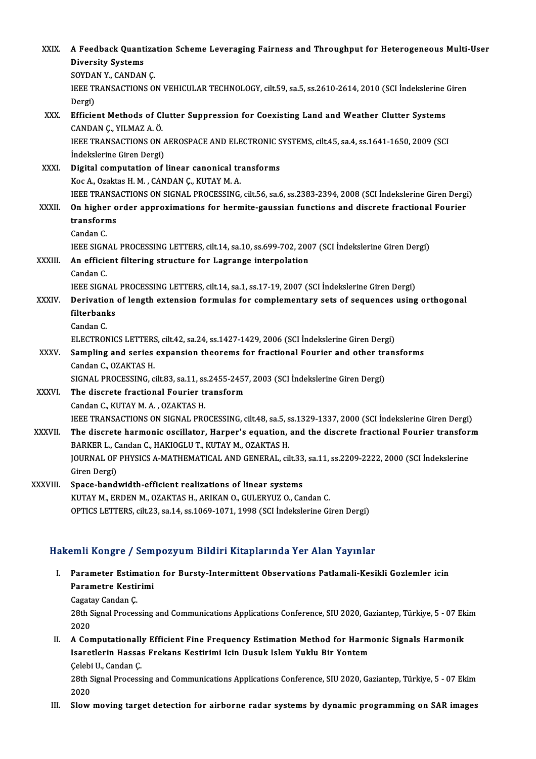| XXIX.         | A Feedback Quantization Scheme Leveraging Fairness and Throughput for Heterogeneous Multi-User<br><b>Diversity Systems</b> |
|---------------|----------------------------------------------------------------------------------------------------------------------------|
|               | SOYDAN Y, CANDAN Ç                                                                                                         |
|               | IEEE TRANSACTIONS ON VEHICULAR TECHNOLOGY, cilt.59, sa.5, ss.2610-2614, 2010 (SCI Indekslerine Giren                       |
|               | Dergi)                                                                                                                     |
| XXX.          | Efficient Methods of Clutter Suppression for Coexisting Land and Weather Clutter Systems                                   |
|               | CANDAN Ç., YILMAZ A. Ö.                                                                                                    |
|               | IEEE TRANSACTIONS ON AEROSPACE AND ELECTRONIC SYSTEMS, cilt.45, sa.4, ss.1641-1650, 2009 (SCI                              |
|               | İndekslerine Giren Dergi)                                                                                                  |
| XXXI.         | Digital computation of linear canonical transforms                                                                         |
|               | Koc A., Ozaktas H. M., CANDAN Ç., KUTAY M. A.                                                                              |
|               | IEEE TRANSACTIONS ON SIGNAL PROCESSING, cilt.56, sa.6, ss.2383-2394, 2008 (SCI İndekslerine Giren Dergi)                   |
| <b>XXXII</b>  | On higher order approximations for hermite-gaussian functions and discrete fractional Fourier                              |
|               | transforms                                                                                                                 |
|               | Candan C.                                                                                                                  |
|               | IEEE SIGNAL PROCESSING LETTERS, cilt.14, sa.10, ss.699-702, 2007 (SCI İndekslerine Giren Dergi)                            |
| XXXIII.       | An efficient filtering structure for Lagrange interpolation                                                                |
|               | Candan C.                                                                                                                  |
|               | IEEE SIGNAL PROCESSING LETTERS, cilt.14, sa.1, ss.17-19, 2007 (SCI Indekslerine Giren Dergi)                               |
| XXXIV.        | Derivation of length extension formulas for complementary sets of sequences using orthogonal                               |
|               | filterbanks                                                                                                                |
|               | Candan C.                                                                                                                  |
|               | ELECTRONICS LETTERS, cilt.42, sa.24, ss.1427-1429, 2006 (SCI Indekslerine Giren Dergi)                                     |
| <b>XXXV</b>   | Sampling and series expansion theorems for fractional Fourier and other transforms                                         |
|               | Candan C., OZAKTAS H.                                                                                                      |
|               | SIGNAL PROCESSING, cilt.83, sa.11, ss.2455-2457, 2003 (SCI Indekslerine Giren Dergi)                                       |
| <b>XXXVI</b>  | The discrete fractional Fourier transform                                                                                  |
|               | Candan C., KUTAY M. A., OZAKTAS H.                                                                                         |
|               | IEEE TRANSACTIONS ON SIGNAL PROCESSING, cilt.48, sa.5, ss.1329-1337, 2000 (SCI İndekslerine Giren Dergi)                   |
| <b>XXXVII</b> | The discrete harmonic oscillator, Harper's equation, and the discrete fractional Fourier transform                         |
|               | BARKER L., Candan C., HAKIOGLU T., KUTAY M., OZAKTAS H.                                                                    |
|               | JOURNAL OF PHYSICS A-MATHEMATICAL AND GENERAL, cilt.33, sa.11, ss.2209-2222, 2000 (SCI İndekslerine                        |
|               | Giren Dergi)                                                                                                               |
| XXXVIII.      | Space-bandwidth-efficient realizations of linear systems                                                                   |
|               | KUTAY M., ERDEN M., OZAKTAS H., ARIKAN O., GULERYUZ O., Candan C.                                                          |
|               | OPTICS LETTERS, cilt.23, sa.14, ss.1069-1071, 1998 (SCI İndekslerine Giren Dergi)                                          |
|               |                                                                                                                            |

## Hakemli Kongre / Sempozyum Bildiri Kitaplarında Yer Alan Yayınlar

akemli Kongre / Sempozyum Bildiri Kitaplarında Yer Alan Yayınlar<br>I. Parameter Estimation for Bursty-Intermittent Observations Patlamali-Kesikli Gozlemler icin<br>Parametre Kestinimi Anni Rongrey oom<br>Parameter Estimatio<br>Parametre Kestirimi Parameter Estim<br>Parametre Kestin<br>Cagatay Candan Ç.<br>29th Simal Proces

Parametre Kestirimi<br>Cagatay Candan Ç.<br>28th Signal Processing and Communications Applications Conference, SIU 2020, Gaziantep, Türkiye, 5 - 07 Ekim Cagata<br>28th S<br>2020 28th Signal Processing and Communications Applications Conference, SIU 2020, Gaziantep, Türkiye, 5 - 07 Ek<br>2020<br>II. A Computationally Efficient Fine Frequency Estimation Method for Harmonic Signals Harmonik<br>Isanatlarin Has

2020<br>II. A Computationally Efficient Fine Frequency Estimation Method for Harmonic Signals Harmonik<br>Isaretlerin Hassas Frekans Kestirimi Icin Dusuk Islem Yuklu Bir Yontem Çelebi U., Candan Ç. Isaretlerin Hassas Frekans Kestirimi Icin Dusuk Islem Yuklu Bir Yontem<br>Çelebi U., Candan Ç.<br>28th Signal Processing and Communications Applications Conference, SIU 2020, Gaziantep, Türkiye, 5 - 07 Ekim<br>2020

Celebi<br>28th S<br>2020<br>Slow 28th Signal Processing and Communications Applications Conference, SIU 2020, Gaziantep, Türkiye, 5 - 07 Ekim<br>2020<br>III. Slow moving target detection for airborne radar systems by dynamic programming on SAR images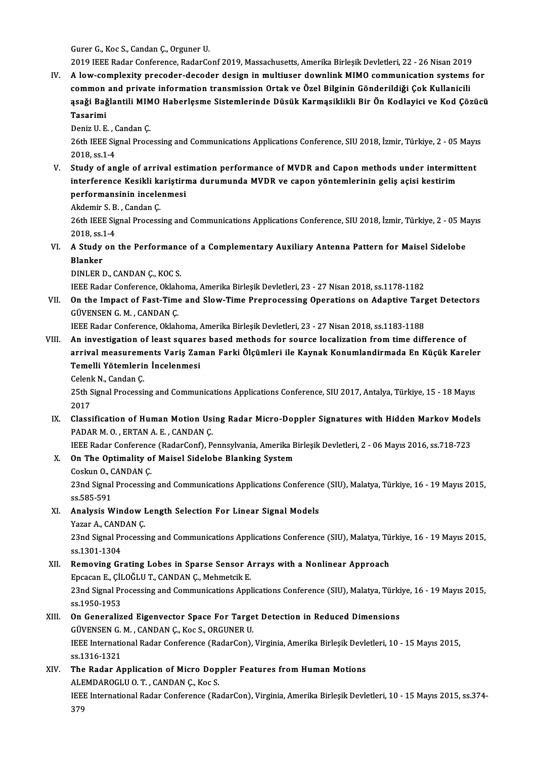Gurer G., Koc S., Candan Ç., Orguner U.

2019 IEEE Radar Conference, RadarConf 2019, Massachusetts, Amerika Birleşik Devletleri, 22 - 26 Nisan 2019

IV. A low-complexity precoder-decoder design in multiuser downlink MIMO communication systems for 2019 IEEE Radar Conference, RadarConf 2019, Massachusetts, Amerika Birleşik Devletleri, 22 - 26 Nisan 2019<br>A low-complexity precoder-decoder design in multiuser downlink MIMO communication systems<br>common and private inform A low-complexity precoder-decoder design in multiuser downlink MIMO communication systems for<br>common and private information transmission Ortak ve Özel Bilginin Gönderildiği Çok Kullanicili<br>ąsaği Bağlantili MIMO Haberlęsme common<br>ąsaği Bağ<br>Tasarimi<br><sup>Doniz II F</sub></sup> <mark>ąsaği Bağlantili MIM</mark><br>Tasarimi<br>Deniz U. E. , Candan Ç.<br>26th IEEE Signal Brocc

Deniz U.E., Candan Ç.

Tasarimi<br>Deniz U. E. , Candan Ç.<br>26th IEEE Signal Processing and Communications Applications Conference, SIU 2018, İzmir, Türkiye, 2 - 05 Mayıs<br>2018. ss.1-4

V. Study of angle of arrival estimation performance of MVDR and Capon methods under intermittent 2018, ss.1-4<br>Study of angle of arrival estimation performance of MVDR and Capon methods under intermit<br>interference Kesikli kariştirma durumunda MVDR ve capon yöntemlerinin geliş açisi kestirim<br>performansinin ingelenmesi Study of angle of arrival est<br>interference Kesikli kariştirı<br>performansinin incelenmesi<br>Akdomir S.B. Candan C interference Kesikli ka<br>performansinin incele<br>Akdemir S.B., Candan Ç.<br>26th IEEE Signal Process

performansinin incelenmesi<br>Akdemir S. B. , Candan Ç.<br>26th IEEE Signal Processing and Communications Applications Conference, SIU 2018, İzmir, Türkiye, 2 - 05 Mayıs Akdemir S. B<br>26th IEEE Sig<br>2018, ss.1-4 26th IEEE Signal Processing and Communications Applications Conference, SIU 2018, İzmir, Türkiye, 2 - 05 M;<br>2018, ss.1-4<br>VI. A Study on the Performance of a Complementary Auxiliary Antenna Pattern for Maisel Sidelobe<br>Plank

2018, ss.:<br>A Study<br>Blanker **A Study on the Performanc<br>Blanker<br>DINLER D., CANDAN Ç., KOC S.<br>IEEE Boder Cerforence, Oklaba** Blanker<br>DINLER D., CANDAN Ç., KOC S.<br>IEEE Radar Conference, Oklahoma, Amerika Birleşik Devletleri, 23 - 27 Nisan 2018, ss.1178-1182

DINLER D., CANDAN Ç., KOC S.<br>IEEE Radar Conference, Oklahoma, Amerika Birleşik Devletleri, 23 - 27 Nisan 2018, ss.1178-1182<br>VII. On the Impact of Fast-Time and Slow-Time Preprocessing Operations on Adaptive Target Dete **IEEE Radar Conference, Oklah<br>On the Impact of Fast-Time<br>GÜVENSEN G. M. , CANDAN Ç.<br>IEEE Badar Conference, Oklah** On the Impact of Fast-Time and Slow-Time Preprocessing Operations on Adaptive Targ<br>GÜVENSEN G. M. , CANDAN Ç.<br>IEEE Radar Conference, Oklahoma, Amerika Birleşik Devletleri, 23 - 27 Nisan 2018, ss.1183-1188<br>An investigation

- GÜVENSEN G. M., CANDAN Ç.<br>IEEE Radar Conference, Oklahoma, Amerika Birleşik Devletleri, 23 27 Nisan 2018, ss.1183-1188<br>VIII. An investigation of least squares based methods for source localization from time difference of IEEE Radar Conference, Oklahoma, Amerika Birleşik Devletleri, 23 - 27 Nisan 2018, ss.1183-1188<br>An investigation of least squares based methods for source localization from time difference of<br>arrival measurements Variş Zama An investigation of least square<br>arrival measurements Variş Zan<br>Temelli Yötemlerin İncelenmesi<br>Celenk N. Candan C arrival measurements Variş Zaman Farki Ölçümleri ile Kaynak Konumlandirmada En Küçük Kareler<br>Temelli Yötemlerin İncelenmesi
	- Celenk N., Candan C.

25th Signal Processing and Communications Applications Conference, SIU 2017, Antalya, Türkiye, 15 - 18 Mayıs<br>2017 25th Signal Processing and Communications Applications Conference, SIU 2017, Antalya, Türkiye, 15 - 18 Mayıs<br>2017<br>IX. Classification of Human Motion Using Radar Micro-Doppler Signatures with Hidden Markov Models<br>RADARM O.

2017<br>Classification of Human Motion Usi<br>PADAR M. O. , ERTAN A. E. , CANDAN Ç.<br>JEEE Padar Conference (PadarCanf), P. Classification of Human Motion Using Radar Micro-Doppler Signatures with Hidden Markov Mode<br>PADAR M. O. , ERTAN A. E. , CANDAN Ç.<br>IEEE Radar Conference (RadarConf), Pennsylvania, Amerika Birleşik Devletleri, 2 - 06 Mayıs 2

PADAR M. O. , ERTAN A. E. , CANDAN Ç.<br>IEEE Radar Conference (RadarConf), Pennsylvania, Amerika B<br>X. On The Optimality of Maisel Sidelobe Blanking System IEEE Radar Conference<br>**On The Optimality o**<br>Coskun O., CANDAN Ç.<br>22nd Simal Presessine Coskun O., CANDAN C.

23nd Signal Processing and Communications Applications Conference (SIU), Malatya, Türkiye, 16 - 19 Mayıs 2015,<br>ss.585-591 23nd Signal Processing and Communications Applications Conferenc<br>ss.585-591<br>XI. Analysis Window Length Selection For Linear Signal Models<br>Narar A. GANDAN G

ss.585-591<br><mark>Analysis Window I</mark><br>Yazar A., CANDAN Ç.<br><sup>22nd Signal Brococci</sup>

Analysis Window Length Selection For Linear Signal Models<br>Yazar A., CANDAN Ç.<br>23nd Signal Processing and Communications Applications Conference (SIU), Malatya, Türkiye, 16 - 19 Mayıs 2015, Yazar A., CANI<br>23nd Signal Pr<br>ss.1301-1304<br>Bomoving Cr 23nd Signal Processing and Communications Applications Conference (SIU), Malatya, Tü<br>ss.1301-1304<br>XII. Removing Grating Lobes in Sparse Sensor Arrays with a Nonlinear Approach<br>Freesen E. CU.QČUUT, CANDAN.C. Mehmetsik E

- ss.1301-1304<br>XII. Removing Grating Lobes in Sparse Sensor Arrays with a Nonlinear Approach<br>Epcacan E., ÇİLOĞLU T., CANDAN Ç., Mehmetcik E. Removing Grating Lobes in Sparse Sensor Arrays with a Nonlinear Approach<br>Epcacan E., ÇİLOĞLU T., CANDAN Ç., Mehmetcik E.<br>23nd Signal Processing and Communications Applications Conference (SIU), Malatya, Türkiye, 16 - 19 Ma Epcacan E., ÇİI<br>23nd Signal Pr<br>ss.1950-1953<br>On Generaliz 23nd Signal Processing and Communications Applications Conference (SIU), Malatya, Türki<br>ss.1950-1953<br>XIII. On Generalized Eigenvector Space For Target Detection in Reduced Dimensions<br>CUNENSEN C.M. CANDAN C. Kos S. ORGUNER
- ss.1950-1953<br>On Generalized Eigenvector Space For Targe<br>GÜVENSEN G. M. , CANDAN Ç., Koc S., ORGUNER U.<br>IEEE International Bader Conference (BaderCen) XIII. On Generalized Eigenvector Space For Target Detection in Reduced Dimensions<br>GÜVENSEN G. M., CANDAN Ç., Koc S., ORGUNER U.<br>IEEE International Radar Conference (RadarCon), Virginia, Amerika Birleşik Devletleri, 10 - 15 GÜVENSEN G.<br>IEEE Internations.<br>1316-1321<br>The Padar A IEEE International Radar Conference (RadarCon), Virginia, Amerika Birleşik Devle<br>ss.1316-1321<br>XIV. The Radar Application of Micro Doppler Features from Human Motions
- ss.1316-1321<br>The Radar Application of Micro Dop<br>ALEMDAROGLU O. T. , CANDAN Ç., Koc S.<br>JEEE International Beder Conference (Be The Radar Application of Micro Doppler Features from Human Motions<br>ALEMDAROGLU O. T. , CANDAN Ç., Koc S.<br>IEEE International Radar Conference (RadarCon), Virginia, Amerika Birleşik Devletleri, 10 - 15 Mayıs 2015, ss.374-<br>27 ALE<br>IEEI<br>379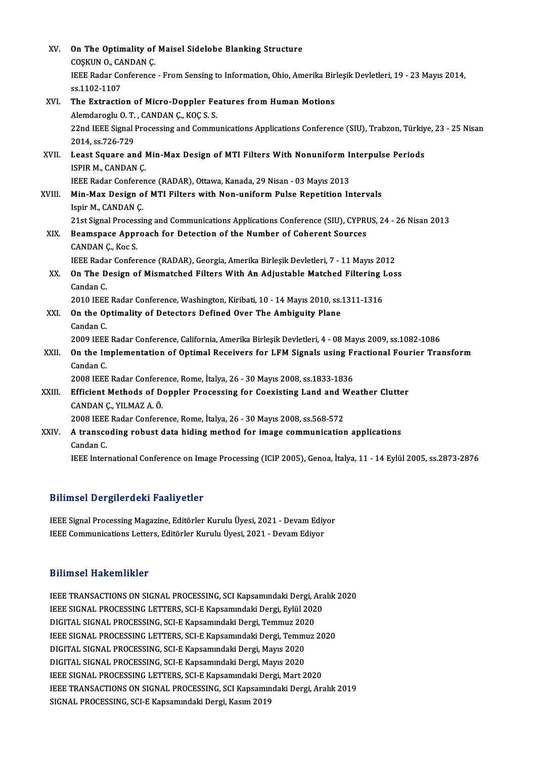| XV.    | On The Optimality of Maisel Sidelobe Blanking Structure                                                                                             |
|--------|-----------------------------------------------------------------------------------------------------------------------------------------------------|
|        | COSKUN O., CANDAN C.<br>IEEE Radar Conference - From Sensing to Information, Ohio, Amerika Birleşik Devletleri, 19 - 23 Mayıs 2014,<br>ss 1102 1107 |
| XVI.   | The Extraction of Micro-Doppler Features from Human Motions                                                                                         |
|        | Alemdaroglu O. T., CANDAN Ç., KOÇ S. S.                                                                                                             |
|        | 22nd IEEE Signal Processing and Communications Applications Conference (SIU), Trabzon, Türkiye, 23 - 25 Nisan<br>2014, ss 726-729                   |
| XVII.  | Least Square and Min-Max Design of MTI Filters With Nonuniform Interpulse Periods<br>ISPIR M, CANDAN Ç                                              |
|        | IEEE Radar Conference (RADAR), Ottawa, Kanada, 29 Nisan - 03 Mayıs 2013                                                                             |
| XVIII. | Min-Max Design of MTI Filters with Non-uniform Pulse Repetition Intervals                                                                           |
|        | Ispir M., CANDAN Ç.                                                                                                                                 |
|        | 21st Signal Processing and Communications Applications Conference (SIU), CYPRUS, 24 - 26 Nisan 2013                                                 |
| XIX.   | Beamspace Approach for Detection of the Number of Coherent Sources                                                                                  |
|        | CANDAN Ç, Koc S                                                                                                                                     |
|        | IEEE Radar Conference (RADAR), Georgia, Amerika Birleşik Devletleri, 7 - 11 Mayıs 2012                                                              |
| XX.    | On The Design of Mismatched Filters With An Adjustable Matched Filtering Loss                                                                       |
|        | Candan C.                                                                                                                                           |
|        | 2010 IEEE Radar Conference, Washington, Kiribati, 10 - 14 Mayıs 2010, ss.1311-1316                                                                  |
| XXI.   | On the Optimality of Detectors Defined Over The Ambiguity Plane                                                                                     |
|        | Candan C.                                                                                                                                           |
|        | 2009 IEEE Radar Conference, California, Amerika Birleşik Devletleri, 4 - 08 Mayıs 2009, ss.1082-1086                                                |
| XXII.  | On the Implementation of Optimal Receivers for LFM Signals using Fractional Fourier Transform                                                       |
|        | Candan C                                                                                                                                            |
|        | 2008 IEEE Radar Conference, Rome, İtalya, 26 - 30 Mayıs 2008, ss.1833-1836                                                                          |
| XXIII. | Efficient Methods of Doppler Processing for Coexisting Land and Weather Clutter                                                                     |
|        | CANDAN Ç., YILMAZ A. Ö.                                                                                                                             |
|        | 2008 IEEE Radar Conference, Rome, İtalya, 26 - 30 Mayıs 2008, ss.568-572                                                                            |
| XXIV.  | A transcoding robust data hiding method for image communication applications<br>Candan C                                                            |
|        | IEEE International Conference on Image Processing (ICIP 2005), Genoa, İtalya, 11 - 14 Eylül 2005, ss.2873-2876                                      |
|        |                                                                                                                                                     |

## Bilimsel Dergilerdeki Faaliyetler

Bilimsel Dergilerdeki Faaliyetler<br>IEEE Signal Processing Magazine, Editörler Kurulu Üyesi, 2021 - Devam Ediyor<br>IEEE Communisations Latters, Editörler Kurulu Üyesi, 2021 - Devam Ediyor Barrinder Bergreit den Fraang ende<br>IEEE Signal Processing Magazine, Editörler Kurulu Üyesi, 2021 - Devam Ediy<br>IEEE Communications Letters, Editörler Kurulu Üyesi, 2021 - Devam Ediyor IEEE Communications Letters, Editörler Kurulu Üyesi, 2021 - Devam Ediyor<br>Bilimsel Hakemlikler

IEEE TRANSACTIONS ON SIGNAL PROCESSING, SCI Kapsamındaki Dergi, Aralık 2020 BAAMBUA AUNUMANIUM<br>IEEE TRANSACTIONS ON SIGNAL PROCESSING, SCI Kapsamındaki Dergi, Ara<br>IEEE SIGNAL PROCESSING LETTERS, SCI-E Kapsamındaki Dergi, Eylül 2020<br>DICITAL SIGNAL PROCESSING SCI E Kapsamındaki Dergi, Temmuz 2020 IEEE TRANSACTIONS ON SIGNAL PROCESSING, SCI Kapsamındaki Dergi, *A*<br>IEEE SIGNAL PROCESSING LETTERS, SCI-E Kapsamındaki Dergi, Eylül 202<br>DIGITAL SIGNAL PROCESSING, SCI-E Kapsamındaki Dergi, Temmuz 2020<br>IEEE SIGNAL PROCESSIN IEEE SIGNAL PROCESSING LETTERS, SCI-E Kapsamındaki Dergi, Eylül 2020<br>DIGITAL SIGNAL PROCESSING, SCI-E Kapsamındaki Dergi, Temmuz 2020<br>IEEE SIGNAL PROCESSING LETTERS, SCI-E Kapsamındaki Dergi, Temmuz 2020<br>DIGITAL SIGNAL PRO DIGITAL SIGNAL PROCESSING, SCI-E Kapsamındaki Dergi, Temmuz 202<br>IEEE SIGNAL PROCESSING LETTERS, SCI-E Kapsamındaki Dergi, Temmu<br>DIGITAL SIGNAL PROCESSING, SCI-E Kapsamındaki Dergi, Mayıs 2020<br>DIGITAL SIGNAL PROCESSING, SCI IEEE SIGNAL PROCESSING LETTERS, SCI-E Kapsamındaki Dergi, Temmı<br>DIGITAL SIGNAL PROCESSING, SCI-E Kapsamındaki Dergi, Mayıs 2020<br>DIGITAL SIGNAL PROCESSING, SCI-E Kapsamındaki Dergi, Mayıs 2020<br>IEEE SIGNAL PROCESSING LETTERS DIGITAL SIGNAL PROCESSING, SCI-E Kapsamındaki Dergi, Mayıs 2020<br>DIGITAL SIGNAL PROCESSING, SCI-E Kapsamındaki Dergi, Mayıs 2020<br>IEEE SIGNAL PROCESSING LETTERS, SCI-E Kapsamındaki Dergi, Mart 2020<br>IEEE TRANSACTIONS ON SIGNA DIGITAL SIGNAL PROCESSING, SCI-E Kapsamındaki Dergi, Mayıs 2020<br>IEEE SIGNAL PROCESSING LETTERS, SCI-E Kapsamındaki Dergi, Mart 2020<br>IEEE TRANSACTIONS ON SIGNAL PROCESSING, SCI Kapsamındaki Dergi, Aralık 2019<br>SIGNAL PROCESS IEEE SIGNAL PROCESSING LETTERS, SCI-E Kapsamındaki Der<br>IEEE TRANSACTIONS ON SIGNAL PROCESSING, SCI Kapsamın<br>SIGNAL PROCESSING, SCI-E Kapsamındaki Dergi, Kasım 2019